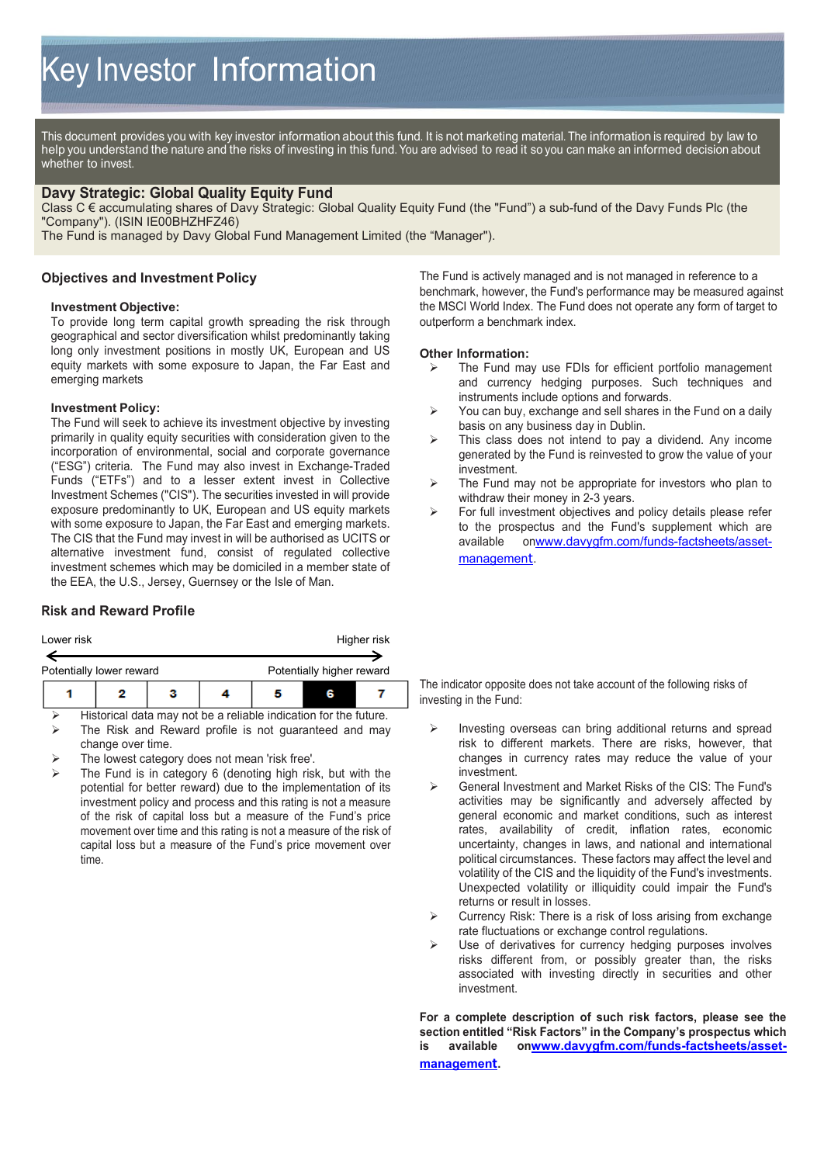This document provides you with key investor information about this fund. It is not marketing material. The information is required by law to help you understand the nature and the risks of investing in this fund. You are advised to read it so you can make an informed decision about whether to invest.

# **Davy Strategic: Global Quality Equity Fund**

Class C € accumulating shares of Davy Strategic: Global Quality Equity Fund (the "Fund") a sub-fund of the Davy Funds Plc (the "Company"). (ISIN IE00BHZHFZ46)

The Fund is managed by Davy Global Fund Management Limited (the "Manager").

## **Objectives and Investment Policy**

#### **Investment Objective:**

To provide long term capital growth spreading the risk through geographical and sector diversification whilst predominantly taking long only investment positions in mostly UK, European and US equity markets with some exposure to Japan, the Far East and emerging markets

#### **Investment Policy:**

The Fund will seek to achieve its investment objective by investing primarily in quality equity securities with consideration given to the incorporation of environmental, social and corporate governance ("ESG") criteria. The Fund may also invest in Exchange-Traded Funds ("ETFs") and to a lesser extent invest in Collective Investment Schemes ("CIS"). The securities invested in will provide exposure predominantly to UK, European and US equity markets with some exposure to Japan, the Far East and emerging markets. The CIS that the Fund may invest in will be authorised as UCITS or alternative investment fund, consist of regulated collective investment schemes which may be domiciled in a member state of the EEA, the U.S., Jersey, Guernsey or the Isle of Man.

# **Risk and Reward Profile**

| Lower risk               |  |   |  | Higher risk               |  |  |  |
|--------------------------|--|---|--|---------------------------|--|--|--|
| Potentially lower reward |  |   |  | Potentially higher reward |  |  |  |
|                          |  | з |  |                           |  |  |  |

 Historical data may not be a reliable indication for the future. The Risk and Reward profile is not guaranteed and may change over time.

- The lowest category does not mean 'risk free'.
- The Fund is in category 6 (denoting high risk, but with the potential for better reward) due to the implementation of its investment policy and process and this rating is not a measure of the risk of capital loss but a measure of the Fund's price movement over time and this rating is not a measure of the risk of capital loss but a measure of the Fund's price movement over time.

The Fund is actively managed and is not managed in reference to a benchmark, however, the Fund's performance may be measured against the MSCI World Index. The Fund does not operate any form of target to outperform a benchmark index.

# **Other Information:**<br> **Example Fund manuform**

- The Fund may use FDIs for efficient portfolio management and currency hedging purposes. Such techniques and instruments include options and forwards.
- $\triangleright$  You can buy, exchange and sell shares in the Fund on a daily basis on any business day in Dublin.
- $\triangleright$  This class does not intend to pay a dividend. Any income generated by the Fund is reinvested to grow the value of your investment.
- $\triangleright$  The Fund may not be appropriate for investors who plan to withdraw their money in 2-3 years.
- For full investment objectives and policy details please refer to the prospectus and the Fund's supplement which are available o[nwww.davygfm.com/funds-factsheets/asset](http://www.davygfm.com/funds-factsheets/asset-management)[managemen](http://www.davygfm.com/funds-factsheets/asset-management)t.

The indicator opposite does not take account of the following risks of investing in the Fund:

- $\triangleright$  Investing overseas can bring additional returns and spread risk to different markets. There are risks, however, that changes in currency rates may reduce the value of your investment.
- General Investment and Market Risks of the CIS: The Fund's activities may be significantly and adversely affected by general economic and market conditions, such as interest rates, availability of credit, inflation rates, economic uncertainty, changes in laws, and national and international political circumstances. These factors may affect the level and volatility of the CIS and the liquidity of the Fund's investments. Unexpected volatility or illiquidity could impair the Fund's returns or result in losses.
- $\triangleright$  Currency Risk: There is a risk of loss arising from exchange rate fluctuations or exchange control regulations.
- $\triangleright$  Use of derivatives for currency hedging purposes involves risks different from, or possibly greater than, the risks associated with investing directly in securities and other investment.

**For a complete description of such risk factors, please see the section entitled "Risk Factors" in the Company's prospectus which is available o[nwww.davygfm.com/funds-factsheets/asset](http://www.davygfm.com/funds-factsheets/asset-management)[managemen](http://www.davygfm.com/funds-factsheets/asset-management)t.**